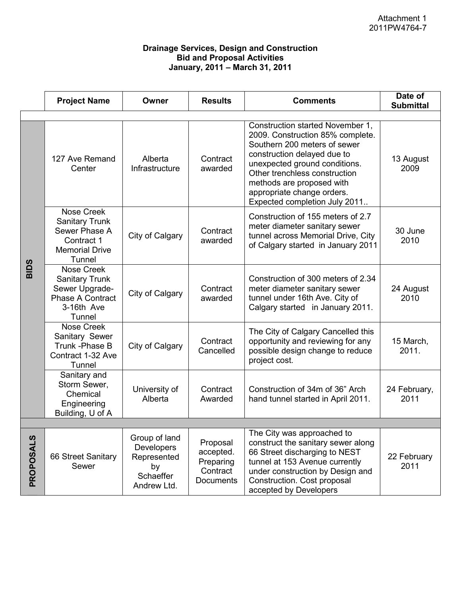## **Drainage Services, Design and Construction Bid and Proposal Activities January, 2011 – March 31, 2011**

|                  | <b>Project Name</b>                                                                                             | Owner                                                                               | <b>Results</b>                                              | <b>Comments</b>                                                                                                                                                                                                                                                                                   | Date of<br><b>Submittal</b> |
|------------------|-----------------------------------------------------------------------------------------------------------------|-------------------------------------------------------------------------------------|-------------------------------------------------------------|---------------------------------------------------------------------------------------------------------------------------------------------------------------------------------------------------------------------------------------------------------------------------------------------------|-----------------------------|
|                  |                                                                                                                 |                                                                                     |                                                             |                                                                                                                                                                                                                                                                                                   |                             |
| <b>BIDS</b>      | 127 Ave Remand<br>Center                                                                                        | Alberta<br>Infrastructure                                                           | Contract<br>awarded                                         | Construction started November 1,<br>2009. Construction 85% complete.<br>Southern 200 meters of sewer<br>construction delayed due to<br>unexpected ground conditions.<br>Other trenchless construction<br>methods are proposed with<br>appropriate change orders.<br>Expected completion July 2011 | 13 August<br>2009           |
|                  | <b>Nose Creek</b><br><b>Sanitary Trunk</b><br>Sewer Phase A<br>Contract 1<br><b>Memorial Drive</b><br>Tunnel    | City of Calgary                                                                     | Contract<br>awarded                                         | Construction of 155 meters of 2.7<br>meter diameter sanitary sewer<br>tunnel across Memorial Drive, City<br>of Calgary started in January 2011                                                                                                                                                    | 30 June<br>2010             |
|                  | <b>Nose Creek</b><br><b>Sanitary Trunk</b><br>Sewer Upgrade-<br><b>Phase A Contract</b><br>3-16th Ave<br>Tunnel | City of Calgary                                                                     | Contract<br>awarded                                         | Construction of 300 meters of 2.34<br>meter diameter sanitary sewer<br>tunnel under 16th Ave. City of<br>Calgary started in January 2011.                                                                                                                                                         | 24 August<br>2010           |
|                  | <b>Nose Creek</b><br>Sanitary Sewer<br>Trunk - Phase B<br>Contract 1-32 Ave<br>Tunnel                           | City of Calgary                                                                     | Contract<br>Cancelled                                       | The City of Calgary Cancelled this<br>opportunity and reviewing for any<br>possible design change to reduce<br>project cost.                                                                                                                                                                      | 15 March,<br>2011.          |
|                  | Sanitary and<br>Storm Sewer,<br>Chemical<br>Engineering<br>Building, U of A                                     | University of<br>Alberta                                                            | Contract<br>Awarded                                         | Construction of 34m of 36" Arch<br>hand tunnel started in April 2011.                                                                                                                                                                                                                             | 24 February,<br>2011        |
|                  |                                                                                                                 |                                                                                     |                                                             |                                                                                                                                                                                                                                                                                                   |                             |
| <b>PROPOSALS</b> | 66 Street Sanitary<br>Sewer                                                                                     | Group of land<br><b>Developers</b><br>Represented<br>by<br>Schaeffer<br>Andrew Ltd. | Proposal<br>accepted.<br>Preparing<br>Contract<br>Documents | The City was approached to<br>construct the sanitary sewer along<br>66 Street discharging to NEST<br>tunnel at 153 Avenue currently<br>under construction by Design and<br>Construction. Cost proposal<br>accepted by Developers                                                                  | 22 February<br>2011         |